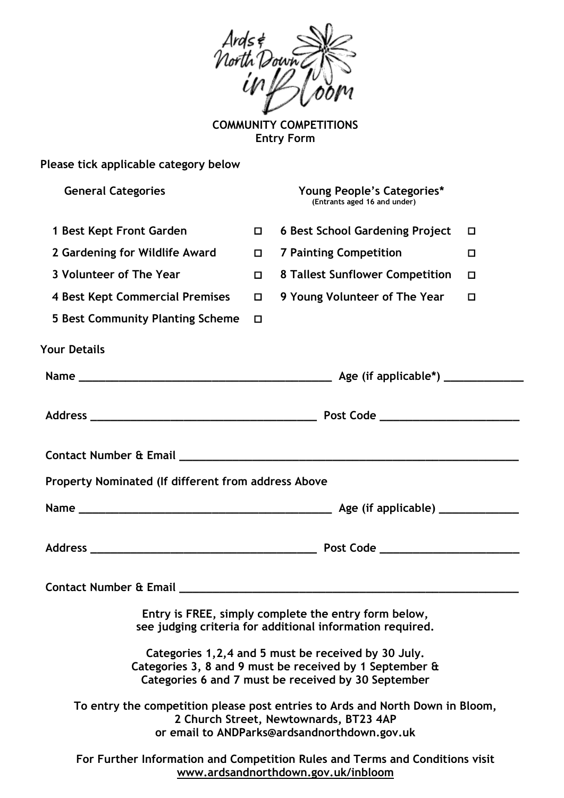

**COMMUNITY COMPETITIONS Entry Form**

| Please tick applicable category below                                                                                                                                   |        |                                                            |   |
|-------------------------------------------------------------------------------------------------------------------------------------------------------------------------|--------|------------------------------------------------------------|---|
| <b>General Categories</b>                                                                                                                                               |        | Young People's Categories*<br>(Entrants aged 16 and under) |   |
| 1 Best Kept Front Garden                                                                                                                                                | $\Box$ | <b>6 Best School Gardening Project</b>                     | □ |
| 2 Gardening for Wildlife Award                                                                                                                                          | 0      | <b>7 Painting Competition</b>                              | □ |
| 3 Volunteer of The Year                                                                                                                                                 | 0      | 8 Tallest Sunflower Competition                            | □ |
| <b>4 Best Kept Commercial Premises</b>                                                                                                                                  | $\Box$ | 9 Young Volunteer of The Year                              | □ |
| 5 Best Community Planting Scheme                                                                                                                                        | □      |                                                            |   |
| <b>Your Details</b>                                                                                                                                                     |        |                                                            |   |
|                                                                                                                                                                         |        |                                                            |   |
|                                                                                                                                                                         |        |                                                            |   |
| Property Nominated (If different from address Above                                                                                                                     |        |                                                            |   |
|                                                                                                                                                                         |        |                                                            |   |
|                                                                                                                                                                         |        |                                                            |   |
| <b>Contact Number &amp; Email</b>                                                                                                                                       |        |                                                            |   |
| Entry is FREE, simply complete the entry form below,<br>see judging criteria for additional information required.                                                       |        |                                                            |   |
| Categories 1, 2, 4 and 5 must be received by 30 July.<br>Categories 3, 8 and 9 must be received by 1 September &<br>Categories 6 and 7 must be received by 30 September |        |                                                            |   |
| To entry the competition please post entries to Ards and North Down in Bloom,<br>2 Church Street, Newtownards, BT23 4AP<br>or email to ANDParks@ardsandnorthdown.gov.uk |        |                                                            |   |
| For Further Information and Competition Rules and Terms and Conditions visit<br>www.ardsandnorthdown.gov.uk/inbloom                                                     |        |                                                            |   |